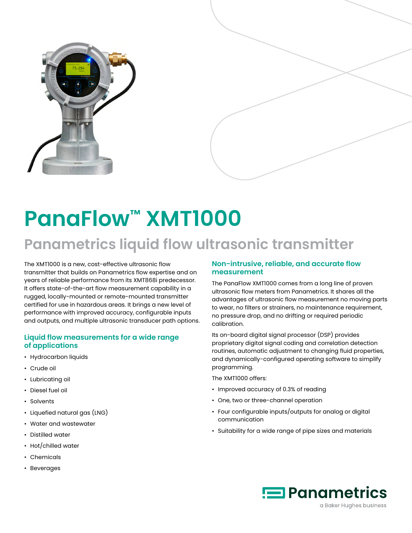

# **PanaFlow™ XMT1000**

## **Panametrics liquid flow ultrasonic transmitter**

The XMT1000 is a new, cost-effective ultrasonic flow transmitter that builds on Panametrics flow expertise and on years of reliable performance from its XMT868i predecessor. It offers state-of-the-art flow measurement capability in a rugged, locally-mounted or remote-mounted transmitter certified for use in hazardous areas. It brings a new level of performance with improved accuracy, configurable inputs and outputs, and multiple ultrasonic transducer path options.

#### **Liquid flow measurements for a wide range of applications**

- Hydrocarbon liquids
- Crude oil
- Lubricating oil
- Diesel fuel oil
- Solvents
- Liquefied natural gas (LNG)
- Water and wastewater
- Distilled water
- Hot/chilled water
- Chemicals
- Beverages

#### **Non-intrusive, reliable, and accurate flow measurement**

The PanaFlow XMT1000 comes from a long line of proven ultrasonic flow meters from Panametrics. It shares all the advantages of ultrasonic flow measurement no moving parts to wear, no filters or strainers, no maintenance requirement, no pressure drop, and no drifting or required periodic calibration.

Its on-board digital signal processor (DSP) provides proprietary digital signal coding and correlation detection routines, automatic adjustment to changing fluid properties, and dynamically-configured operating software to simplify programming.

The XMT1000 offers:

- Improved accuracy of 0.3% of reading
- One, two or three-channel operation
- Four configurable inputs/outputs for analog or digital communication
- Suitability for a wide range of pipe sizes and materials

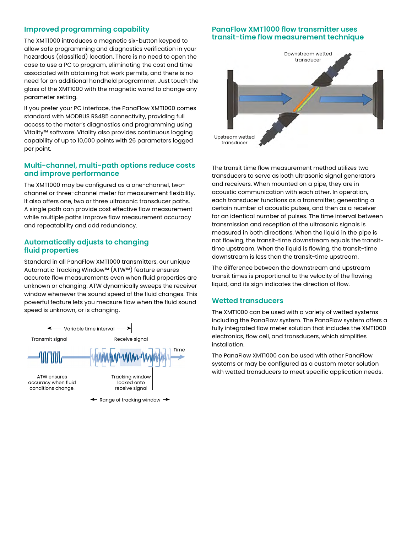#### **Improved programming capability**

The XMT1000 introduces a magnetic six-button keypad to allow safe programming and diagnostics verification in your hazardous (classified) location. There is no need to open the case to use a PC to program, eliminating the cost and time associated with obtaining hot work permits, and there is no need for an additional handheld programmer. Just touch the glass of the XMT1000 with the magnetic wand to change any parameter setting.

If you prefer your PC interface, the PanaFlow XMT1000 comes standard with MODBUS RS485 connectivity, providing full access to the meter's diagnostics and programming using Vitality™ software. Vitality also provides continuous logging capability of up to 10,000 points with 26 parameters logged per point.

#### **Multi-channel, multi-path options reduce costs and improve performance**

The XMT1000 may be configured as a one-channel, twochannel or three-channel meter for measurement flexibility. It also offers one, two or three ultrasonic transducer paths. A single path can provide cost effective flow measurement while multiple paths improve flow measurement accuracy and repeatability and add redundancy.

#### **Automatically adjusts to changing fluid properties**

Standard in all PanaFlow XMT1000 transmitters, our unique Automatic Tracking Window™ (ATW™) feature ensures accurate flow measurements even when fluid properties are unknown or changing. ATW dynamically sweeps the receiver window whenever the sound speed of the fluid changes. This powerful feature lets you measure flow when the fluid sound speed is unknown, or is changing.



#### **PanaFlow XMT1000 flow transmitter uses transit-time flow measurement technique**



The transit time flow measurement method utilizes two transducers to serve as both ultrasonic signal generators and receivers. When mounted on a pipe, they are in acoustic communication with each other. In operation, each transducer functions as a transmitter, generating a certain number of acoustic pulses, and then as a receiver for an identical number of pulses. The time interval between transmission and reception of the ultrasonic signals is measured in both directions. When the liquid in the pipe is not flowing, the transit-time downstream equals the transittime upstream. When the liquid is flowing, the transit-time downstream is less than the transit-time upstream.

The difference between the downstream and upstream transit times is proportional to the velocity of the flowing liquid, and its sign indicates the direction of flow.

#### **Wetted transducers**

The XMT1000 can be used with a variety of wetted systems including the PanaFlow system. The PanaFlow system offers a fully integrated flow meter solution that includes the XMT1000 electronics, flow cell, and transducers, which simplifies installation.

The PanaFlow XMT1000 can be used with other PanaFlow systems or may be configured as a custom meter solution with wetted transducers to meet specific application needs.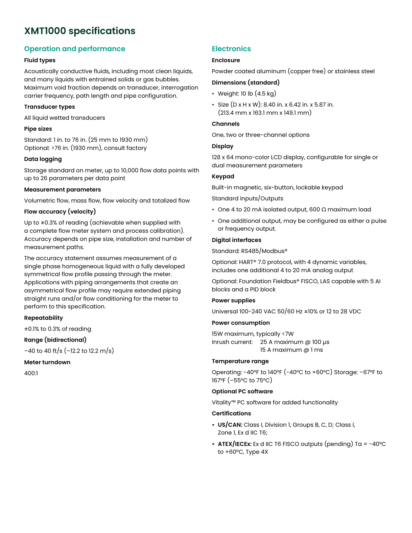### **XMT1000 specifications**

#### **Operation and performance**

#### **Fluid types**

Acoustically conductive fluids, including most clean liquids, and many liquids with entrained solids or gas bubbles. Maximum void fraction depends on transducer, interrogation carrier frequency, path length and pipe configuration.

#### **Transducer types**

All liquid wetted transducers

#### **Pipe sizes**

Standard: 1 in. to 76 in. (25 mm to 1930 mm) Optional: >76 in. (1930 mm), consult factory

#### **Data logging**

Storage standard on meter, up to 10,000 flow data points with up to 26 parameters per data point

#### **Measurement parameters**

Volumetric flow, mass flow, flow velocity and totalized flow

#### **Flow accuracy (velocity)**

Up to  $\pm$ 0.3% of reading (achievable when supplied with a complete flow meter system and process calibration). Accuracy depends on pipe size, installation and number of measurement paths.

The accuracy statement assumes measurement of a single phase homogeneous liquid with a fully developed symmetrical flow profile passing through the meter. Applications with piping arrangements that create an asymmetrical flow profile may require extended piping straight runs and/or flow conditioning for the meter to perform to this specification.

#### **Repeatability**

±0.1% to 0.3% of reading

#### **Range (bidirectional)**

–40 to 40 ft/s (–12.2 to 12.2 m/s)

#### **Meter turndown**

400:1

#### **Electronics**

#### **Enclosure**

Powder coated aluminum (copper free) or stainless steel

#### **Dimensions (standard)**

- Weight: 10 lb  $(4.5 \text{ kg})$
- Size  $(D \times H \times W)$ : 8.40 in. x 6.42 in. x 5.87 in. (213.4 mm x 163.1 mm x 149.1 mm)

#### **Channels**

One, two or three-channel options

#### **Display**

128 x 64 mono-color LCD display, configurable for single or dual measurement parameters

#### **Keypad**

Built-in magnetic, six-button, lockable keypad

Standard Inputs/Outputs

- One 4 to 20 mA isolated output, 600 Ω maximum load
- One additional output, may be configured as either a pulse or frequency output.

#### **Digital interfaces**

Standard: RS485/Modbus®

Optional: HART® 7.0 protocol, with 4 dynamic variables, includes one additional 4 to 20 mA analog output

Optional: Foundation Fieldbus® FISCO, LAS capable with 5 AI blocks and a PID block

#### **Power supplies**

Universal 100-240 VAC 50/60 Hz ±10% or 12 to 28 VDC

#### **Power consumption**

15W maximum, typically <7W Inrush current: 25 A maximum @ 100 µs 15 A maximum @ 1 ms

#### **Temperature range**

Operating: -40°F to 140°F (-40°C to +60°C) Storage: –67°F to 167°F (–55°C to 75°C)

#### **Optional PC software**

Vitality™ PC software for added functionality

#### **Certifications**

- **• US/CAN:** Class I, Division 1, Groups B, C, D; Class I, Zone 1, Ex d IIC T6;
- **• ATEX/IECEx:** Ex d IIC T6 FISCO outputs (pending) Ta = -40°C to +60°C, Type 4X